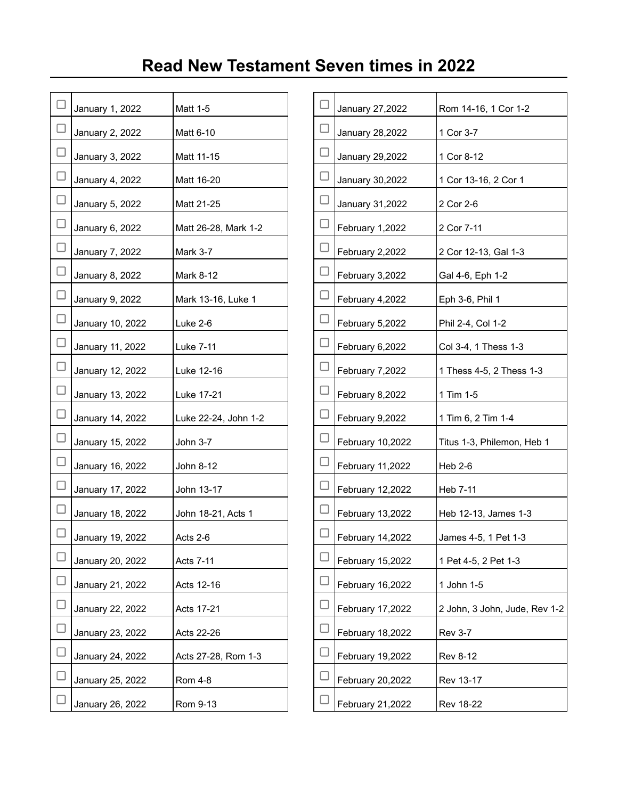| January 1, 2022  | Matt 1-5             | January 27,2022  | Rom 14-16, 1 Cor 1-2   |
|------------------|----------------------|------------------|------------------------|
| January 2, 2022  | Matt 6-10            | January 28,2022  | 1 Cor 3-7              |
| January 3, 2022  | Matt 11-15           | January 29,2022  | 1 Cor 8-12             |
| January 4, 2022  | Matt 16-20           | January 30,2022  | 1 Cor 13-16, 2 Cor 1   |
| January 5, 2022  | Matt 21-25           | January 31,2022  | 2 Cor 2-6              |
| January 6, 2022  | Matt 26-28, Mark 1-2 | February 1,2022  | 2 Cor 7-11             |
| January 7, 2022  | Mark 3-7             | February 2,2022  | 2 Cor 12-13, Gal 1-3   |
| January 8, 2022  | Mark 8-12            | February 3,2022  | Gal 4-6, Eph 1-2       |
| January 9, 2022  | Mark 13-16, Luke 1   | February 4,2022  | Eph 3-6, Phil 1        |
| January 10, 2022 | Luke 2-6             | February 5,2022  | Phil 2-4, Col 1-2      |
| January 11, 2022 | Luke 7-11            | February 6,2022  | Col 3-4, 1 Thess 1-3   |
| January 12, 2022 | Luke 12-16           | February 7,2022  | 1 Thess 4-5, 2 Thess   |
| January 13, 2022 | Luke 17-21           | February 8,2022  | 1 Tim 1-5              |
| January 14, 2022 | Luke 22-24, John 1-2 | February 9,2022  | 1 Tim 6, 2 Tim 1-4     |
| January 15, 2022 | John 3-7             | February 10,2022 | Titus 1-3, Philemon, H |
| January 16, 2022 | John 8-12            | February 11,2022 | Heb 2-6                |
| January 17, 2022 | John 13-17           | February 12,2022 | Heb 7-11               |
| January 18, 2022 | John 18-21, Acts 1   | February 13,2022 | Heb 12-13, James 1-3   |
| January 19, 2022 | Acts 2-6             | February 14,2022 | James 4-5, 1 Pet 1-3   |
| January 20, 2022 | Acts 7-11            | February 15,2022 | 1 Pet 4-5, 2 Pet 1-3   |
| January 21, 2022 | Acts 12-16           | February 16,2022 | 1 John 1-5             |
| January 22, 2022 | Acts 17-21           | February 17,2022 | 2 John, 3 John, Jude,  |
| January 23, 2022 | Acts 22-26           | February 18,2022 | <b>Rev 3-7</b>         |
| January 24, 2022 | Acts 27-28, Rom 1-3  | February 19,2022 | <b>Rev 8-12</b>        |
| January 25, 2022 | <b>Rom 4-8</b>       | February 20,2022 | Rev 13-17              |
| January 26, 2022 | Rom 9-13             | February 21,2022 | <b>Rev 18-22</b>       |
|                  |                      |                  |                        |

| January 1, 2022  | Matt 1-5             |   | January 27,2022  | Rom 14-16, 1 Cor 1-2          |
|------------------|----------------------|---|------------------|-------------------------------|
| January 2, 2022  | Matt 6-10            |   | January 28,2022  | 1 Cor 3-7                     |
| January 3, 2022  | Matt 11-15           |   | January 29,2022  | 1 Cor 8-12                    |
| January 4, 2022  | Matt 16-20           | □ | January 30,2022  | 1 Cor 13-16, 2 Cor 1          |
| January 5, 2022  | Matt 21-25           |   | January 31,2022  | 2 Cor 2-6                     |
| January 6, 2022  | Matt 26-28, Mark 1-2 |   | February 1,2022  | 2 Cor 7-11                    |
| January 7, 2022  | Mark 3-7             |   | February 2,2022  | 2 Cor 12-13, Gal 1-3          |
| January 8, 2022  | Mark 8-12            |   | February 3,2022  | Gal 4-6, Eph 1-2              |
| January 9, 2022  | Mark 13-16, Luke 1   | ⊔ | February 4,2022  | Eph 3-6, Phil 1               |
| January 10, 2022 | Luke 2-6             |   | February 5,2022  | Phil 2-4, Col 1-2             |
| January 11, 2022 | Luke 7-11            | ⊔ | February 6,2022  | Col 3-4, 1 Thess 1-3          |
| January 12, 2022 | Luke 12-16           |   | February 7,2022  | 1 Thess 4-5, 2 Thess 1-3      |
| January 13, 2022 | Luke 17-21           |   | February 8,2022  | 1 Tim 1-5                     |
| January 14, 2022 | Luke 22-24, John 1-2 |   | February 9,2022  | 1 Tim 6, 2 Tim 1-4            |
| January 15, 2022 | John 3-7             |   | February 10,2022 | Titus 1-3, Philemon, Heb 1    |
| January 16, 2022 | John 8-12            |   | February 11,2022 | $Heb$ 2-6                     |
| January 17, 2022 | John 13-17           |   | February 12,2022 | Heb 7-11                      |
| January 18, 2022 | John 18-21, Acts 1   |   | February 13,2022 | Heb 12-13, James 1-3          |
| January 19, 2022 | Acts 2-6             |   | February 14,2022 | James 4-5, 1 Pet 1-3          |
| January 20, 2022 | <b>Acts 7-11</b>     |   | February 15,2022 | 1 Pet 4-5, 2 Pet 1-3          |
| January 21, 2022 | Acts 12-16           |   | February 16,2022 | 1 John 1-5                    |
| January 22, 2022 | Acts 17-21           |   | February 17,2022 | 2 John, 3 John, Jude, Rev 1-2 |
| January 23, 2022 | Acts 22-26           |   | February 18,2022 | <b>Rev 3-7</b>                |
| January 24, 2022 | Acts 27-28, Rom 1-3  |   | February 19,2022 | Rev 8-12                      |
| January 25, 2022 | Rom 4-8              |   | February 20,2022 | Rev 13-17                     |
| January 26, 2022 | Rom 9-13             |   | February 21,2022 | Rev 18-22                     |
|                  |                      |   |                  |                               |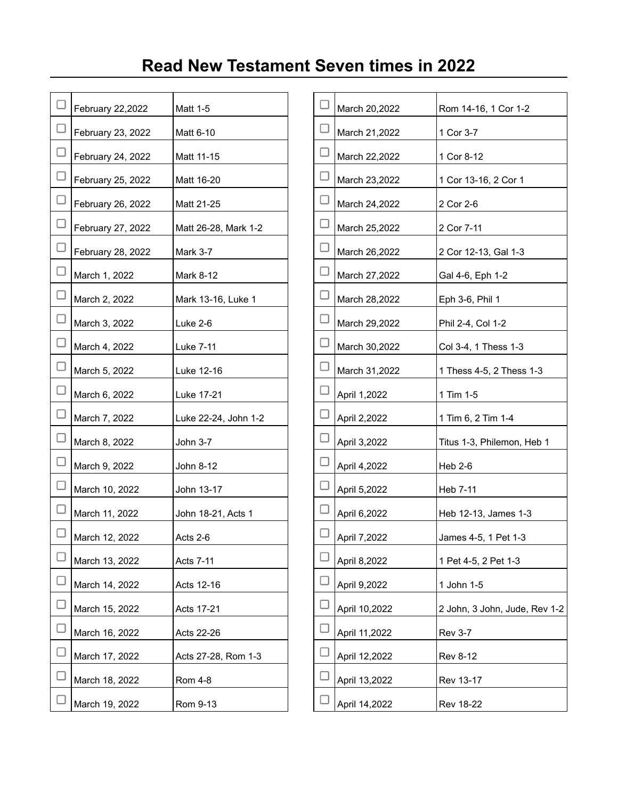| February 22,2022  | Matt 1-5             | March 20,2022 | Rom 14-16, 1 Cor 1-2   |
|-------------------|----------------------|---------------|------------------------|
| February 23, 2022 | Matt 6-10            | March 21,2022 | 1 Cor 3-7              |
| February 24, 2022 | Matt 11-15           | March 22,2022 | 1 Cor 8-12             |
| February 25, 2022 | Matt 16-20           | March 23,2022 | 1 Cor 13-16, 2 Cor 1   |
| February 26, 2022 | Matt 21-25           | March 24,2022 | 2 Cor 2-6              |
| February 27, 2022 | Matt 26-28, Mark 1-2 | March 25,2022 | 2 Cor 7-11             |
| February 28, 2022 | Mark 3-7             | March 26,2022 | 2 Cor 12-13, Gal 1-3   |
| March 1, 2022     | Mark 8-12            | March 27,2022 | Gal 4-6, Eph 1-2       |
| March 2, 2022     | Mark 13-16, Luke 1   | March 28,2022 | Eph 3-6, Phil 1        |
| March 3, 2022     | Luke 2-6             | March 29,2022 | Phil 2-4, Col 1-2      |
| March 4, 2022     | Luke 7-11            | March 30,2022 | Col 3-4, 1 Thess 1-3   |
| March 5, 2022     | Luke 12-16           | March 31,2022 | 1 Thess 4-5, 2 Thess   |
| March 6, 2022     | Luke 17-21           | April 1,2022  | 1 Tim 1-5              |
| March 7, 2022     | Luke 22-24, John 1-2 | April 2,2022  | 1 Tim 6, 2 Tim 1-4     |
| March 8, 2022     | John 3-7             | April 3,2022  | Titus 1-3, Philemon, H |
| March 9, 2022     | John 8-12            | April 4,2022  | <b>Heb 2-6</b>         |
| March 10, 2022    | John 13-17           | April 5,2022  | Heb 7-11               |
| March 11, 2022    | John 18-21, Acts 1   | April 6,2022  | Heb 12-13, James 1-3   |
| March 12, 2022    | Acts 2-6             | April 7,2022  | James 4-5, 1 Pet 1-3   |
| March 13, 2022    | Acts 7-11            | April 8,2022  | 1 Pet 4-5, 2 Pet 1-3   |
| March 14, 2022    | Acts 12-16           | April 9,2022  | 1 John 1-5             |
| March 15, 2022    | Acts 17-21           | April 10,2022 | 2 John, 3 John, Jude,  |
| March 16, 2022    | Acts 22-26           | April 11,2022 | <b>Rev 3-7</b>         |
| March 17, 2022    | Acts 27-28, Rom 1-3  | April 12,2022 | <b>Rev 8-12</b>        |
| March 18, 2022    | <b>Rom 4-8</b>       | April 13,2022 | Rev 13-17              |
| March 19, 2022    | Rom 9-13             | April 14,2022 | <b>Rev 18-22</b>       |
|                   |                      |               |                        |

| February 22,2022  | Matt 1-5             |   | March 20,2022 | Rom 14-16, 1 Cor 1-2          |
|-------------------|----------------------|---|---------------|-------------------------------|
| February 23, 2022 | Matt 6-10            |   | March 21,2022 | 1 Cor 3-7                     |
| February 24, 2022 | Matt 11-15           |   | March 22,2022 | 1 Cor 8-12                    |
| February 25, 2022 | Matt 16-20           |   | March 23,2022 | 1 Cor 13-16, 2 Cor 1          |
| February 26, 2022 | Matt 21-25           |   | March 24,2022 | 2 Cor 2-6                     |
| February 27, 2022 | Matt 26-28, Mark 1-2 |   | March 25,2022 | 2 Cor 7-11                    |
| February 28, 2022 | Mark 3-7             |   | March 26,2022 | 2 Cor 12-13, Gal 1-3          |
| March 1, 2022     | Mark 8-12            |   | March 27,2022 | Gal 4-6, Eph 1-2              |
| March 2, 2022     | Mark 13-16, Luke 1   |   | March 28,2022 | Eph 3-6, Phil 1               |
| March 3, 2022     | Luke 2-6             |   | March 29,2022 | Phil 2-4, Col 1-2             |
| March 4, 2022     | Luke 7-11            | ⊔ | March 30,2022 | Col 3-4, 1 Thess 1-3          |
| March 5, 2022     | Luke 12-16           |   | March 31,2022 | 1 Thess 4-5, 2 Thess 1-3      |
| March 6, 2022     | Luke 17-21           |   | April 1,2022  | 1 Tim 1-5                     |
| March 7, 2022     | Luke 22-24, John 1-2 |   | April 2,2022  | 1 Tim 6, 2 Tim 1-4            |
| March 8, 2022     | John 3-7             |   | April 3,2022  | Titus 1-3, Philemon, Heb 1    |
| March 9, 2022     | John 8-12            |   | April 4,2022  | $Heb$ 2-6                     |
| March 10, 2022    | John 13-17           |   | April 5,2022  | Heb 7-11                      |
| March 11, 2022    | John 18-21, Acts 1   |   | April 6,2022  | Heb 12-13, James 1-3          |
| March 12, 2022    | Acts 2-6             |   | April 7,2022  | James 4-5, 1 Pet 1-3          |
| March 13, 2022    | <b>Acts 7-11</b>     |   | April 8,2022  | 1 Pet 4-5, 2 Pet 1-3          |
| March 14, 2022    | Acts 12-16           |   | April 9,2022  | 1 John 1-5                    |
| March 15, 2022    | Acts 17-21           |   | April 10,2022 | 2 John, 3 John, Jude, Rev 1-2 |
| March 16, 2022    | Acts 22-26           |   | April 11,2022 | <b>Rev 3-7</b>                |
| March 17, 2022    | Acts 27-28, Rom 1-3  |   | April 12,2022 | <b>Rev 8-12</b>               |
| March 18, 2022    | Rom 4-8              |   | April 13,2022 | <b>Rev 13-17</b>              |
| March 19, 2022    | Rom 9-13             |   | April 14,2022 | <b>Rev 18-22</b>              |
|                   |                      |   |               |                               |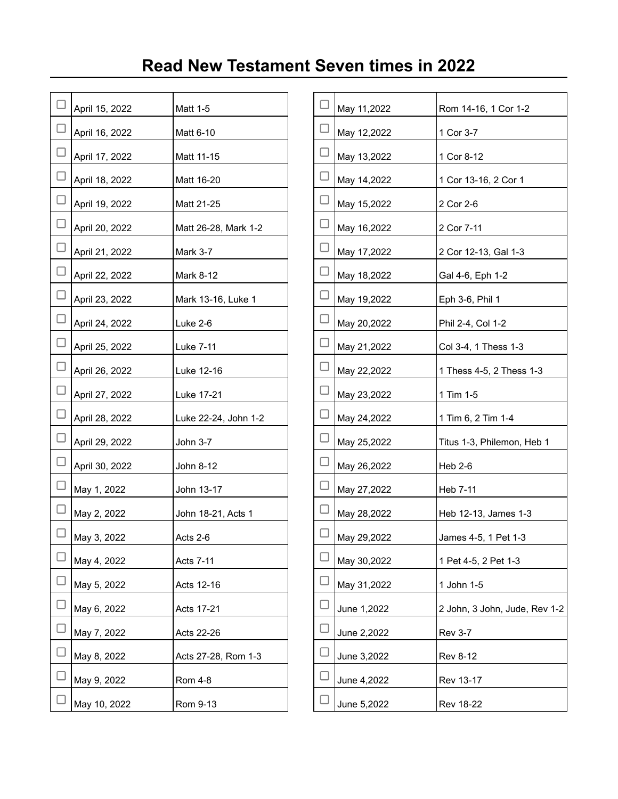| April 15, 2022 | Matt 1-5             | May 11,2022 | Rom 14-16, 1 Cor 1-2   |
|----------------|----------------------|-------------|------------------------|
| April 16, 2022 | Matt 6-10            | May 12,2022 | 1 Cor 3-7              |
| April 17, 2022 | Matt 11-15           | May 13,2022 | 1 Cor 8-12             |
| April 18, 2022 | Matt 16-20           | May 14,2022 | 1 Cor 13-16, 2 Cor 1   |
| April 19, 2022 | Matt 21-25           | May 15,2022 | 2 Cor 2-6              |
| April 20, 2022 | Matt 26-28, Mark 1-2 | May 16,2022 | 2 Cor 7-11             |
| April 21, 2022 | Mark 3-7             | May 17,2022 | 2 Cor 12-13, Gal 1-3   |
| April 22, 2022 | Mark 8-12            | May 18,2022 | Gal 4-6, Eph 1-2       |
| April 23, 2022 | Mark 13-16, Luke 1   | May 19,2022 | Eph 3-6, Phil 1        |
| April 24, 2022 | Luke 2-6             | May 20,2022 | Phil 2-4, Col 1-2      |
| April 25, 2022 | Luke 7-11            | May 21,2022 | Col 3-4, 1 Thess 1-3   |
| April 26, 2022 | Luke 12-16           | May 22,2022 | 1 Thess 4-5, 2 Thess   |
| April 27, 2022 | Luke 17-21           | May 23,2022 | 1 Tim 1-5              |
| April 28, 2022 | Luke 22-24, John 1-2 | May 24,2022 | 1 Tim 6, 2 Tim 1-4     |
| April 29, 2022 | John 3-7             | May 25,2022 | Titus 1-3, Philemon, H |
| April 30, 2022 | John 8-12            | May 26,2022 | <b>Heb 2-6</b>         |
| May 1, 2022    | John 13-17           | May 27,2022 | Heb 7-11               |
| May 2, 2022    | John 18-21, Acts 1   | May 28,2022 | Heb 12-13, James 1-3   |
| May 3, 2022    | Acts 2-6             | May 29,2022 | James 4-5, 1 Pet 1-3   |
| May 4, 2022    | Acts 7-11            | May 30,2022 | 1 Pet 4-5, 2 Pet 1-3   |
| May 5, 2022    | Acts 12-16           | May 31,2022 | 1 John 1-5             |
| May 6, 2022    | Acts 17-21           | June 1,2022 | 2 John, 3 John, Jude,  |
| May 7, 2022    | Acts 22-26           | June 2,2022 | <b>Rev 3-7</b>         |
| May 8, 2022    | Acts 27-28, Rom 1-3  | June 3,2022 | <b>Rev 8-12</b>        |
| May 9, 2022    | <b>Rom 4-8</b>       | June 4,2022 | Rev 13-17              |
| May 10, 2022   | Rom 9-13             | June 5,2022 | <b>Rev 18-22</b>       |

| April 15, 2022 | Matt 1-5             |   | May 11,2022 | Rom 14-16, 1 Cor 1-2          |
|----------------|----------------------|---|-------------|-------------------------------|
| April 16, 2022 | Matt 6-10            |   | May 12,2022 | 1 Cor 3-7                     |
| April 17, 2022 | Matt 11-15           |   | May 13,2022 | 1 Cor 8-12                    |
| April 18, 2022 | Matt 16-20           |   | May 14,2022 | 1 Cor 13-16, 2 Cor 1          |
| April 19, 2022 | Matt 21-25           | □ | May 15,2022 | 2 Cor 2-6                     |
| April 20, 2022 | Matt 26-28, Mark 1-2 |   | May 16,2022 | 2 Cor 7-11                    |
| April 21, 2022 | Mark 3-7             |   | May 17,2022 | 2 Cor 12-13, Gal 1-3          |
| April 22, 2022 | Mark 8-12            |   | May 18,2022 | Gal 4-6, Eph 1-2              |
| April 23, 2022 | Mark 13-16, Luke 1   |   | May 19,2022 | Eph 3-6, Phil 1               |
| April 24, 2022 | Luke 2-6             | ⊔ | May 20,2022 | Phil 2-4, Col 1-2             |
| April 25, 2022 | Luke 7-11            |   | May 21,2022 | Col 3-4, 1 Thess 1-3          |
| April 26, 2022 | Luke 12-16           | ⊔ | May 22,2022 | 1 Thess 4-5, 2 Thess 1-3      |
| April 27, 2022 | Luke 17-21           |   | May 23,2022 | 1 Tim 1-5                     |
| April 28, 2022 | Luke 22-24, John 1-2 |   | May 24,2022 | 1 Tim 6, 2 Tim 1-4            |
| April 29, 2022 | John 3-7             |   | May 25,2022 | Titus 1-3, Philemon, Heb 1    |
| April 30, 2022 | John 8-12            |   | May 26,2022 | $Heb$ 2-6                     |
| May 1, 2022    | John 13-17           |   | May 27,2022 | Heb 7-11                      |
| May 2, 2022    | John 18-21, Acts 1   |   | May 28,2022 | Heb 12-13, James 1-3          |
| May 3, 2022    | Acts 2-6             |   | May 29,2022 | James 4-5, 1 Pet 1-3          |
| May 4, 2022    | Acts 7-11            |   | May 30,2022 | 1 Pet 4-5, 2 Pet 1-3          |
| May 5, 2022    | Acts 12-16           |   | May 31,2022 | 1 John 1-5                    |
| May 6, 2022    | Acts 17-21           |   | June 1,2022 | 2 John, 3 John, Jude, Rev 1-2 |
| May 7, 2022    | Acts 22-26           |   | June 2,2022 | <b>Rev 3-7</b>                |
| May 8, 2022    | Acts 27-28, Rom 1-3  |   | June 3,2022 | <b>Rev 8-12</b>               |
| May 9, 2022    | Rom 4-8              |   | June 4,2022 | Rev 13-17                     |
| May 10, 2022   | Rom 9-13             |   | June 5,2022 | <b>Rev 18-22</b>              |
|                |                      |   |             |                               |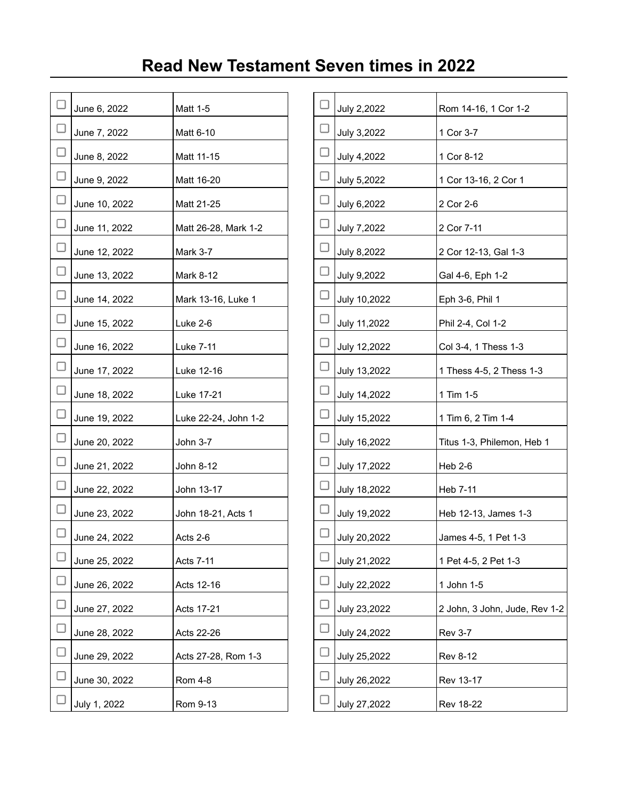| June 6, 2022  | Matt 1-5             | July 2,2022  | Rom 14-16, 1 Cor 1-2   |
|---------------|----------------------|--------------|------------------------|
| June 7, 2022  | Matt 6-10            | July 3,2022  | 1 Cor 3-7              |
| June 8, 2022  | Matt 11-15           | July 4,2022  | 1 Cor 8-12             |
| June 9, 2022  | Matt 16-20           | July 5,2022  | 1 Cor 13-16, 2 Cor 1   |
| June 10, 2022 | Matt 21-25           | July 6,2022  | 2 Cor 2-6              |
| June 11, 2022 | Matt 26-28, Mark 1-2 | July 7,2022  | 2 Cor 7-11             |
| June 12, 2022 | Mark 3-7             | July 8,2022  | 2 Cor 12-13, Gal 1-3   |
| June 13, 2022 | Mark 8-12            | July 9,2022  | Gal 4-6, Eph 1-2       |
| June 14, 2022 | Mark 13-16, Luke 1   | July 10,2022 | Eph 3-6, Phil 1        |
| June 15, 2022 | Luke 2-6             | July 11,2022 | Phil 2-4, Col 1-2      |
| June 16, 2022 | Luke 7-11            | July 12,2022 | Col 3-4, 1 Thess 1-3   |
| June 17, 2022 | Luke 12-16           | July 13,2022 | 1 Thess 4-5, 2 Thess   |
| June 18, 2022 | Luke 17-21           | July 14,2022 | 1 Tim 1-5              |
| June 19, 2022 | Luke 22-24, John 1-2 | July 15,2022 | 1 Tim 6, 2 Tim 1-4     |
| June 20, 2022 | John 3-7             | July 16,2022 | Titus 1-3, Philemon, H |
| June 21, 2022 | John 8-12            | July 17,2022 | Heb 2-6                |
| June 22, 2022 | John 13-17           | July 18,2022 | Heb 7-11               |
| June 23, 2022 | John 18-21, Acts 1   | July 19,2022 | Heb 12-13, James 1-3   |
| June 24, 2022 | Acts 2-6             | July 20,2022 | James 4-5, 1 Pet 1-3   |
| June 25, 2022 | Acts 7-11            | July 21,2022 | 1 Pet 4-5, 2 Pet 1-3   |
| June 26, 2022 | Acts 12-16           | July 22,2022 | 1 John 1-5             |
| June 27, 2022 | Acts 17-21           | July 23,2022 | 2 John, 3 John, Jude,  |
| June 28, 2022 | Acts 22-26           | July 24,2022 | <b>Rev 3-7</b>         |
| June 29, 2022 | Acts 27-28, Rom 1-3  | July 25,2022 | <b>Rev 8-12</b>        |
| June 30, 2022 | <b>Rom 4-8</b>       | July 26,2022 | Rev 13-17              |
| July 1, 2022  | Rom 9-13             | July 27,2022 | <b>Rev 18-22</b>       |
|               |                      |              |                        |

| June 6, 2022  | Matt 1-5             |   | July 2,2022  | Rom 14-16, 1 Cor 1-2          |
|---------------|----------------------|---|--------------|-------------------------------|
| June 7, 2022  | Matt 6-10            | ⊔ | July 3,2022  | 1 Cor 3-7                     |
| June 8, 2022  | Matt 11-15           | ப | July 4,2022  | 1 Cor 8-12                    |
| June 9, 2022  | Matt 16-20           | ப | July 5,2022  | 1 Cor 13-16, 2 Cor 1          |
| June 10, 2022 | Matt 21-25           |   | July 6,2022  | 2 Cor 2-6                     |
| June 11, 2022 | Matt 26-28, Mark 1-2 |   | July 7,2022  | 2 Cor 7-11                    |
| June 12, 2022 | Mark 3-7             |   | July 8,2022  | 2 Cor 12-13, Gal 1-3          |
| June 13, 2022 | Mark 8-12            |   | July 9,2022  | Gal 4-6, Eph 1-2              |
| June 14, 2022 | Mark 13-16, Luke 1   |   | July 10,2022 | Eph 3-6, Phil 1               |
| June 15, 2022 | Luke 2-6             |   | July 11,2022 | Phil 2-4, Col 1-2             |
| June 16, 2022 | Luke 7-11            |   | July 12,2022 | Col 3-4, 1 Thess 1-3          |
| June 17, 2022 | Luke 12-16           |   | July 13,2022 | 1 Thess 4-5, 2 Thess 1-3      |
| June 18, 2022 | Luke 17-21           |   | July 14,2022 | 1 Tim 1-5                     |
| June 19, 2022 | Luke 22-24, John 1-2 |   | July 15,2022 | 1 Tim 6, 2 Tim 1-4            |
| June 20, 2022 | John 3-7             |   | July 16,2022 | Titus 1-3, Philemon, Heb 1    |
| June 21, 2022 | John 8-12            |   | July 17,2022 | $Heb$ 2-6                     |
| June 22, 2022 | John 13-17           |   | July 18,2022 | Heb 7-11                      |
| June 23, 2022 | John 18-21, Acts 1   |   | July 19,2022 | Heb 12-13, James 1-3          |
| June 24, 2022 | Acts 2-6             |   | July 20,2022 | James 4-5, 1 Pet 1-3          |
| June 25, 2022 | Acts 7-11            |   | July 21,2022 | 1 Pet 4-5, 2 Pet 1-3          |
| June 26, 2022 | Acts 12-16           |   | July 22,2022 | 1 John 1-5                    |
| June 27, 2022 | Acts 17-21           |   | July 23,2022 | 2 John, 3 John, Jude, Rev 1-2 |
| June 28, 2022 | Acts 22-26           |   | July 24,2022 | <b>Rev 3-7</b>                |
| June 29, 2022 | Acts 27-28, Rom 1-3  |   | July 25,2022 | <b>Rev 8-12</b>               |
| June 30, 2022 | <b>Rom 4-8</b>       |   | July 26,2022 | Rev 13-17                     |
| July 1, 2022  | Rom 9-13             |   | July 27,2022 | <b>Rev 18-22</b>              |
|               |                      |   |              |                               |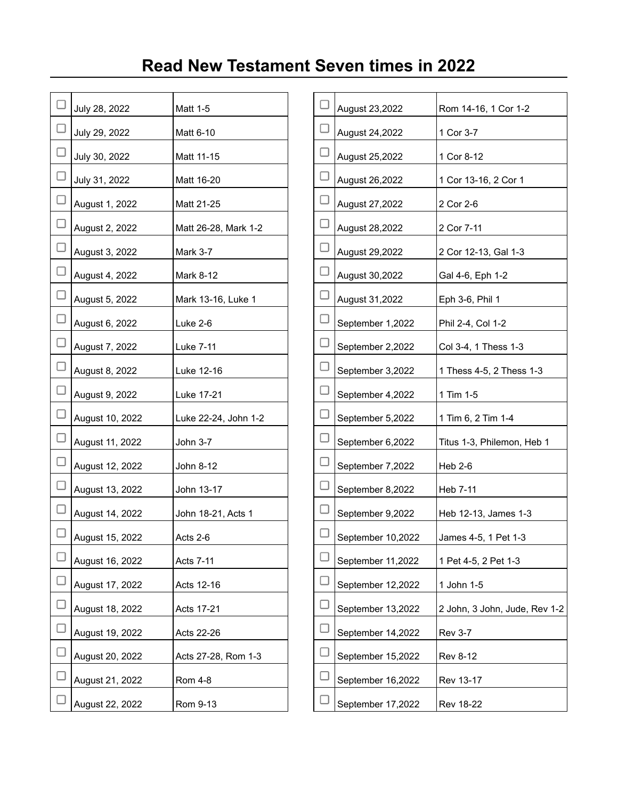|  | July 28, 2022   | Matt 1-5             |        | August 23,2022    | Rom 14-16, 1 Cor 1-2   |
|--|-----------------|----------------------|--------|-------------------|------------------------|
|  | July 29, 2022   | Matt 6-10            |        | August 24,2022    | 1 Cor 3-7              |
|  | July 30, 2022   | Matt 11-15           |        | August 25,2022    | 1 Cor 8-12             |
|  | July 31, 2022   | Matt 16-20           |        | August 26,2022    | 1 Cor 13-16, 2 Cor 1   |
|  | August 1, 2022  | Matt 21-25           |        | August 27,2022    | 2 Cor 2-6              |
|  | August 2, 2022  | Matt 26-28, Mark 1-2 |        | August 28,2022    | 2 Cor 7-11             |
|  | August 3, 2022  | Mark 3-7             |        | August 29,2022    | 2 Cor 12-13, Gal 1-3   |
|  | August 4, 2022  | Mark 8-12            |        | August 30,2022    | Gal 4-6, Eph 1-2       |
|  | August 5, 2022  | Mark 13-16, Luke 1   |        | August 31,2022    | Eph 3-6, Phil 1        |
|  | August 6, 2022  | Luke 2-6             |        | September 1,2022  | Phil 2-4, Col 1-2      |
|  | August 7, 2022  | Luke 7-11            |        | September 2,2022  | Col 3-4, 1 Thess 1-3   |
|  | August 8, 2022  | Luke 12-16           |        | September 3,2022  | 1 Thess 4-5, 2 Thess   |
|  | August 9, 2022  | Luke 17-21           |        | September 4,2022  | 1 Tim 1-5              |
|  | August 10, 2022 | Luke 22-24, John 1-2 |        | September 5,2022  | 1 Tim 6, 2 Tim 1-4     |
|  | August 11, 2022 | John 3-7             |        | September 6,2022  | Titus 1-3, Philemon, H |
|  | August 12, 2022 | John 8-12            |        | September 7,2022  | Heb 2-6                |
|  | August 13, 2022 | John 13-17           |        | September 8,2022  | Heb 7-11               |
|  | August 14, 2022 | John 18-21, Acts 1   |        | September 9,2022  | Heb 12-13, James 1-3   |
|  | August 15, 2022 | Acts 2-6             |        | September 10,2022 | James 4-5, 1 Pet 1-3   |
|  | August 16, 2022 | Acts 7-11            |        | September 11,2022 | 1 Pet 4-5, 2 Pet 1-3   |
|  | August 17, 2022 | Acts 12-16           | $\Box$ | September 12,2022 | 1 John 1-5             |
|  | August 18, 2022 | Acts 17-21           |        | September 13,2022 | 2 John, 3 John, Jude,  |
|  | August 19, 2022 | Acts 22-26           |        | September 14,2022 | <b>Rev 3-7</b>         |
|  | August 20, 2022 | Acts 27-28, Rom 1-3  |        | September 15,2022 | <b>Rev 8-12</b>        |
|  | August 21, 2022 | <b>Rom 4-8</b>       |        | September 16,2022 | Rev 13-17              |
|  | August 22, 2022 | Rom 9-13             |        | September 17,2022 | <b>Rev 18-22</b>       |
|  |                 |                      |        |                   |                        |

| July 28, 2022   | Matt 1-5             |        | August 23,2022    | Rom 14-16, 1 Cor 1-2          |
|-----------------|----------------------|--------|-------------------|-------------------------------|
| July 29, 2022   | Matt 6-10            |        | August 24,2022    | 1 Cor 3-7                     |
| July 30, 2022   | Matt 11-15           |        | August 25,2022    | 1 Cor 8-12                    |
| July 31, 2022   | Matt 16-20           |        | August 26,2022    | 1 Cor 13-16, 2 Cor 1          |
| August 1, 2022  | Matt 21-25           |        | August 27,2022    | 2 Cor 2-6                     |
| August 2, 2022  | Matt 26-28, Mark 1-2 |        | August 28,2022    | 2 Cor 7-11                    |
| August 3, 2022  | Mark 3-7             |        | August 29,2022    | 2 Cor 12-13, Gal 1-3          |
| August 4, 2022  | Mark 8-12            |        | August 30,2022    | Gal 4-6, Eph 1-2              |
| August 5, 2022  | Mark 13-16, Luke 1   |        | August 31,2022    | Eph 3-6, Phil 1               |
| August 6, 2022  | Luke 2-6             | ⊔      | September 1,2022  | Phil 2-4, Col 1-2             |
| August 7, 2022  | Luke 7-11            | $\Box$ | September 2,2022  | Col 3-4, 1 Thess 1-3          |
| August 8, 2022  | Luke 12-16           | ┙      | September 3,2022  | 1 Thess 4-5, 2 Thess 1-3      |
| August 9, 2022  | Luke 17-21           | ⊔      | September 4,2022  | 1 Tim 1-5                     |
| August 10, 2022 | Luke 22-24, John 1-2 |        | September 5,2022  | 1 Tim 6, 2 Tim 1-4            |
| August 11, 2022 | John 3-7             |        | September 6,2022  | Titus 1-3, Philemon, Heb 1    |
| August 12, 2022 | John 8-12            |        | September 7,2022  | $Heb$ 2-6                     |
| August 13, 2022 | John 13-17           |        | September 8,2022  | Heb 7-11                      |
| August 14, 2022 | John 18-21, Acts 1   |        | September 9,2022  | Heb 12-13, James 1-3          |
| August 15, 2022 | Acts 2-6             |        | September 10,2022 | James 4-5, 1 Pet 1-3          |
| August 16, 2022 | <b>Acts 7-11</b>     |        | September 11,2022 | 1 Pet 4-5, 2 Pet 1-3          |
| August 17, 2022 | Acts 12-16           |        | September 12,2022 | 1 John 1-5                    |
| August 18, 2022 | Acts 17-21           |        | September 13,2022 | 2 John, 3 John, Jude, Rev 1-2 |
| August 19, 2022 | Acts 22-26           |        | September 14,2022 | <b>Rev 3-7</b>                |
| August 20, 2022 | Acts 27-28, Rom 1-3  |        | September 15,2022 | Rev 8-12                      |
| August 21, 2022 | Rom 4-8              |        | September 16,2022 | Rev 13-17                     |
| August 22, 2022 | Rom 9-13             |        | September 17,2022 | <b>Rev 18-22</b>              |
|                 |                      |        |                   |                               |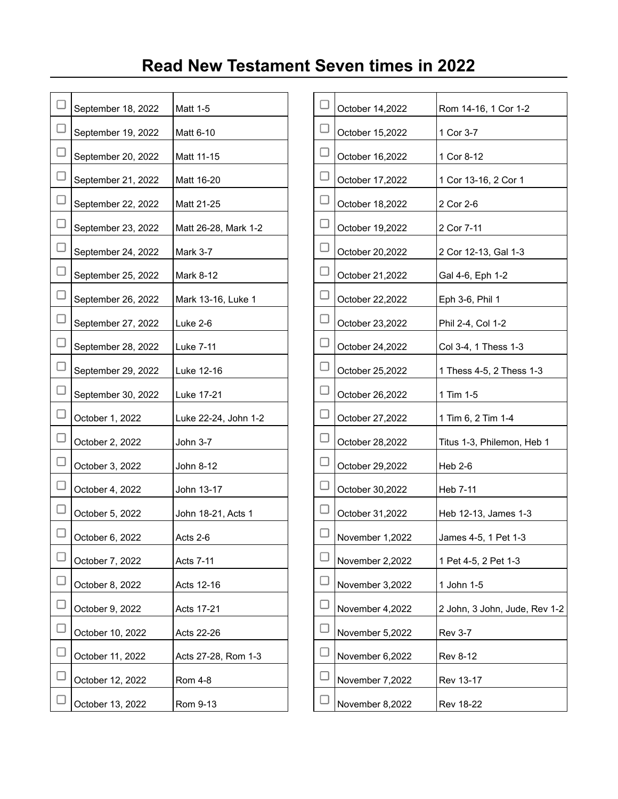|    | September 18, 2022 | Matt 1-5             |  | October 14,2022 | Rom 14-16, 1 Cor 1-2   |
|----|--------------------|----------------------|--|-----------------|------------------------|
|    | September 19, 2022 | Matt 6-10            |  | October 15,2022 | 1 Cor 3-7              |
|    | September 20, 2022 | Matt 11-15           |  | October 16,2022 | 1 Cor 8-12             |
|    | September 21, 2022 | Matt 16-20           |  | October 17,2022 | 1 Cor 13-16, 2 Cor 1   |
|    | September 22, 2022 | Matt 21-25           |  | October 18,2022 | 2 Cor 2-6              |
|    | September 23, 2022 | Matt 26-28, Mark 1-2 |  | October 19,2022 | 2 Cor 7-11             |
|    | September 24, 2022 | Mark 3-7             |  | October 20,2022 | 2 Cor 12-13, Gal 1-3   |
|    | September 25, 2022 | Mark 8-12            |  | October 21,2022 | Gal 4-6, Eph 1-2       |
|    | September 26, 2022 | Mark 13-16, Luke 1   |  | October 22,2022 | Eph 3-6, Phil 1        |
|    | September 27, 2022 | Luke 2-6             |  | October 23,2022 | Phil 2-4, Col 1-2      |
|    | September 28, 2022 | Luke 7-11            |  | October 24,2022 | Col 3-4, 1 Thess 1-3   |
|    | September 29, 2022 | Luke 12-16           |  | October 25,2022 | 1 Thess 4-5, 2 Thess   |
|    | September 30, 2022 | Luke 17-21           |  | October 26,2022 | 1 Tim 1-5              |
|    | October 1, 2022    | Luke 22-24, John 1-2 |  | October 27,2022 | 1 Tim 6, 2 Tim 1-4     |
|    | October 2, 2022    | John 3-7             |  | October 28,2022 | Titus 1-3, Philemon, H |
|    | October 3, 2022    | John 8-12            |  | October 29,2022 | <b>Heb 2-6</b>         |
| l. | October 4, 2022    | John 13-17           |  | October 30,2022 | Heb 7-11               |
| ш  | October 5, 2022    | John 18-21, Acts 1   |  | October 31,2022 | Heb 12-13, James 1-3   |
|    | October 6, 2022    | Acts 2-6             |  | November 1,2022 | James 4-5, 1 Pet 1-3   |
|    | October 7, 2022    | <b>Acts 7-11</b>     |  | November 2,2022 | 1 Pet 4-5, 2 Pet 1-3   |
|    | October 8, 2022    | Acts 12-16           |  | November 3,2022 | 1 John 1-5             |
|    | October 9, 2022    | Acts 17-21           |  | November 4,2022 | 2 John, 3 John, Jude,  |
|    | October 10, 2022   | Acts 22-26           |  | November 5,2022 | <b>Rev 3-7</b>         |
|    | October 11, 2022   | Acts 27-28, Rom 1-3  |  | November 6,2022 | <b>Rev 8-12</b>        |
|    | October 12, 2022   | <b>Rom 4-8</b>       |  | November 7,2022 | Rev 13-17              |
|    | October 13, 2022   | Rom 9-13             |  | November 8,2022 | <b>Rev 18-22</b>       |
|    |                    |                      |  |                 |                        |

| September 18, 2022 | Matt 1-5             |        | October 14,2022 | Rom 14-16, 1 Cor 1-2          |
|--------------------|----------------------|--------|-----------------|-------------------------------|
| September 19, 2022 | Matt 6-10            | ⊔      | October 15,2022 | 1 Cor 3-7                     |
| September 20, 2022 | Matt 11-15           |        | October 16,2022 | 1 Cor 8-12                    |
| September 21, 2022 | Matt 16-20           | □      | October 17,2022 | 1 Cor 13-16, 2 Cor 1          |
| September 22, 2022 | Matt 21-25           | □      | October 18,2022 | 2 Cor 2-6                     |
| September 23, 2022 | Matt 26-28, Mark 1-2 | ⊔      | October 19,2022 | 2 Cor 7-11                    |
| September 24, 2022 | <b>Mark 3-7</b>      | ⊔      | October 20,2022 | 2 Cor 12-13, Gal 1-3          |
| September 25, 2022 | Mark 8-12            | ⊔      | October 21,2022 | Gal 4-6, Eph 1-2              |
| September 26, 2022 | Mark 13-16, Luke 1   | ⊔      | October 22,2022 | Eph 3-6, Phil 1               |
| September 27, 2022 | Luke 2-6             | $\Box$ | October 23,2022 | Phil 2-4, Col 1-2             |
| September 28, 2022 | Luke 7-11            | $\Box$ | October 24,2022 | Col 3-4, 1 Thess 1-3          |
| September 29, 2022 | Luke 12-16           | ⊔      | October 25,2022 | 1 Thess 4-5, 2 Thess 1-3      |
| September 30, 2022 | Luke 17-21           |        | October 26,2022 | 1 Tim 1-5                     |
| October 1, 2022    | Luke 22-24, John 1-2 |        | October 27,2022 | 1 Tim 6, 2 Tim 1-4            |
| October 2, 2022    | John 3-7             |        | October 28,2022 | Titus 1-3, Philemon, Heb 1    |
| October 3, 2022    | John 8-12            |        | October 29,2022 | Heb 2-6                       |
| October 4, 2022    | John 13-17           |        | October 30,2022 | Heb 7-11                      |
| October 5, 2022    | John 18-21, Acts 1   |        | October 31,2022 | Heb 12-13, James 1-3          |
| October 6, 2022    | Acts 2-6             |        | November 1,2022 | James 4-5, 1 Pet 1-3          |
| October 7, 2022    | Acts 7-11            |        | November 2,2022 | 1 Pet 4-5, 2 Pet 1-3          |
| October 8, 2022    | Acts 12-16           |        | November 3,2022 | 1 John 1-5                    |
| October 9, 2022    | Acts 17-21           |        | November 4,2022 | 2 John, 3 John, Jude, Rev 1-2 |
| October 10, 2022   | Acts 22-26           |        | November 5,2022 | <b>Rev 3-7</b>                |
| October 11, 2022   | Acts 27-28, Rom 1-3  |        | November 6,2022 | <b>Rev 8-12</b>               |
| October 12, 2022   | Rom 4-8              |        | November 7,2022 | <b>Rev 13-17</b>              |
| October 13, 2022   | Rom 9-13             |        | November 8,2022 | <b>Rev 18-22</b>              |
|                    |                      |        |                 |                               |